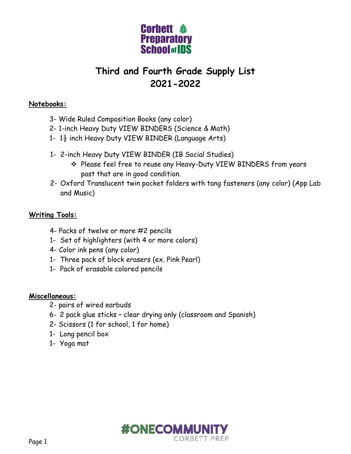

# **Third and Fourth Grade Supply List 2021-2022**

### **Notebooks:**

- 3- Wide Ruled Composition Books (any color)
- 2- 1-inch Heavy Duty VIEW BINDERS (Science & Math)
- 1-  $1\frac{1}{2}$  inch Heavy Duty VIEW BINDER (Language Arts)
- 1- 2-inch Heavy Duty VIEW BINDER (IB Social Studies)
	- Please feel free to reuse any Heavy-Duty VIEW BINDERS from years past that are in good condition.
- 2- Oxford Translucent twin pocket folders with tang fasteners (any color) (App Lab and Music)

## **Writing Tools:**

- 4- Packs of twelve or more #2 pencils
- 1- Set of highlighters (with 4 or more colors)
- 4- Color ink pens (any color)
- 1- Three pack of block erasers (ex. Pink Pearl)
- 1- Pack of erasable colored pencils

#### **Miscellaneous:**

- 2- pairs of wired earbuds
- 6- 2 pack glue sticks clear drying only (classroom and Spanish)
- 2- Scissors (1 for school, 1 for home)
- 1- Long pencil box
- 1- Yoga mat